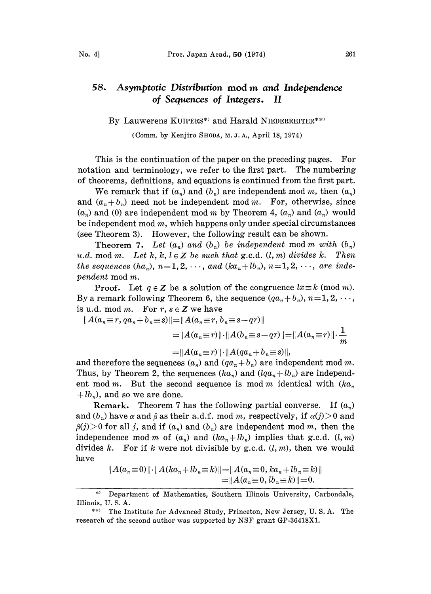## 58. Asymptotic Distribution mod m and Independence of Sequences of Integers. II

By Lauwerens KUIPERS\*) and Harald NIEDERREITER\*\*)

(Comm. by Kenjiro SHODA, M. J. A., April 18, 1974)

This is the continuation of the paper on the preceding pages. For notation and terminology, we refer to the first part. The numbering of theorems, definitions, and equations is coatinued from the first part.

We remark that if  $(a_n)$  and  $(b_n)$  are independent mod m, then  $(a_n)$ and  $(a_n + b_n)$  need not be independent mod m. For, otherwise, since  $(a_n)$  and (0) are independent mod m by Theorem 4,  $(a_n)$  and  $(a_n)$  would be independent mod  $m$ , which happens only under special circumstances (see Theorem 3). However, the following result can be shown.

**Theorem 7.** Let  $(a_n)$  and  $(b_n)$  be independent mod m with  $(b_n)$ u.d. mod m. Let h, k,  $l \in \mathbb{Z}$  be such that g.c.d.  $(l, m)$  divides k. Then the sequences  $(ha_n)$ ,  $n=1, 2, \dots$ , and  $(ka_n+lb_n)$ ,  $n=1, 2, \dots$ , are independent mod m.<br>Proof. Let  $q \in \mathbb{Z}$  be a solution of the congruence  $lx \equiv k \pmod{m}$ . pendent mod m.

**Proof.** Let  $q \in \mathbb{Z}$  be a solution of the congruence  $lx \equiv k \pmod{m}$ . By a remark following Theorem 6, the sequence  $(qa_n + b_n)$ ,  $n=1, 2, \dots$ , is u.d. mod m. For  $r, s \in \mathbb{Z}$  we have

$$
||A(a_n \equiv r, qa_n + b_n \equiv s) || = ||A(a_n \equiv r, b_n \equiv s - qr)||
$$
  

$$
= ||A(a_n \equiv r) || \cdot ||A(b_n \equiv s - qr)|| = ||A(a_n \equiv r) || \cdot \frac{1}{m}
$$
  

$$
= ||A(a_n \equiv r) || \cdot ||A(qa_n + b_n \equiv s) ||,
$$

and therefore the sequences  $(a_n)$  and  $(qa_n + b_n)$  are independent mod m. Thus, by Theorem 2, the sequences  $(ha_n)$  and  $(lqa_n + lb_n)$  are independent mod m. But the second sequence is mod m identical with  $(ka_n)$  $+ lb<sub>n</sub>$ ), and so we are done.

**Remark.** Theorem 7 has the following partial converse. If  $(a_n)$ and  $(b_n)$  have  $\alpha$  and  $\beta$  as their a.d.f. mod m, respectively, if  $\alpha(j)$  and  $\beta(j) > 0$  for all j, and if  $(a_n)$  and  $(b_n)$  are independent mod m, then the independence mod m of  $(a_n)$  and  $(ka_n+lb_n)$  implies that g.c.d.  $(l, m)$ divides k. For if k were not divisible by g.c.d.  $(l, m)$ , then we would have

$$
||A(a_n \equiv 0)|| \cdot ||A(ka_n + lb_n \equiv k)|| = ||A(a_n \equiv 0, ka_n + lb_n \equiv k)||
$$
  
= 
$$
||A(a_n \equiv 0, lb_n \equiv k)|| = 0.
$$

<sup>\*)</sup> Department of Mathematics, Southern Illinois University, Carbondale, Illinois, U. S. A.

<sup>\*\*)</sup> The Institute for Advanced Study, Princeton, New Jersey, U.S.A. The research of the second author was supported by NSF grant GP-36418X1.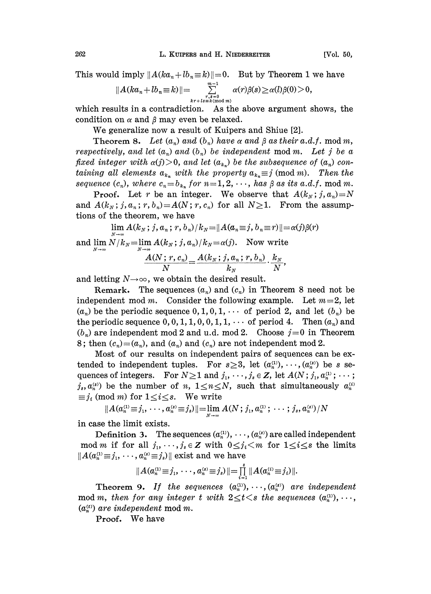This would imply  $||A(ka_n+lb_n\equiv k)||=0$ . But by Theorem 1 we have

$$
||A(ka_n+lb_n\!\equiv\!k)||\!=\!\sum_{\tiny\begin{array}{c}r,s=0\\ k\,r+ls\equiv k\,(\text{mod }m)\end{array}}^{m-1}\alpha(r)\beta(s)\!\geq\!\alpha(l)\beta(0)\!>\!0,
$$

which results in a contradiction. As the above argument shows, the condition on  $\alpha$  and  $\beta$  may even be relaxed.

We generalize now <sup>a</sup> result of Kuipers and Shiue [2].

Theorem 8. Let  $(a_n)$  and  $(b_n)$  have  $\alpha$  and  $\beta$  as their  $a.d.f.$  mod m, respectively, and let  $(a_n)$  and  $(b_n)$  be independent mod m. Let j be a fixed integer with  $\alpha(j) > 0$ , and let  $(a_{k_n})$  be the subsequence of  $(a_n)$  containing all elements  $a_{k_n}$  with the property  $a_{k_n} \equiv j \pmod{m}$ . Then the sequence  $(c_n)$ , where  $c_n=b_{k_n}$  for  $n=1,2,\cdots$ , has  $\beta$  as its a.d.f. mod m.

**Proof.** Let r be an integer. We observe that  $A(k_N;j, a_n)=N$ and  $A(k_N; j, a_n; r, b_n) = A(N; r, c_n)$  for all  $N \ge 1$ . From the assumptions of the theorem, we have

$$
\lim A(k_N; j, a_n; r, b_n)/k_N = ||A(a_n \equiv j, b_n \equiv r)|| = \alpha(j)\beta(r)
$$

and  $\lim_{N} N/k_N = \lim_{N} A(k_N; j, a_n)/k_N = \alpha(j)$ . Now write

$$
\frac{A(N;r,c_n)}{N}=\frac{A(k_N;j,a_n;r,b_n)}{k_N}\cdot\frac{k_N}{N},
$$

and letting  $N \rightarrow \infty$ , we obtain the desired result.

Remark. The sequences  $(a_n)$  and  $(c_n)$  in Theorem 8 need not be independent mod m. Consider the following example. Let  $m=2$ , let  $(a_n)$  be the periodic sequence  $0, 1, 0, 1, \cdots$  of period 2, and let  $(b_n)$  be the periodic sequence  $0, 0, 1, 1, 0, 0, 1, 1, \cdots$  of period 4. Then  $(a_n)$  and  $(b_n)$  are independent mod 2 and u.d. mod 2. Choose  $j=0$  in Theorem 8; then  $(c_n)=(a_n)$ , and  $(a_n)$  and  $(c_n)$  are not independent mod 2.

Most of our results on independent pairs of sequences can be extended to independent tuples. For  $s \geq 3$ , let  $(a_n^{(1)}, \dots, (a_n^{(s)})$  be s sequences of integers. For  $N \geq 1$  and  $j_1, \dots, j_s \in \mathbb{Z}$ , let  $A(N; j_1, a_n^{(1)}; \dots)$  $j_s, a_n^{(s)}$  be the number of n,  $1 \le n \le N$ , such that simultaneously  $a_n^{(i)}$  $\equiv j_i \pmod{m}$  for  $1 \leq i \leq s$ . We write

$$
||A(a_n^{(1)} \equiv j_1, \cdots, a_n^{(s)} \equiv j_s)|| = \lim_{N \to \infty} A(N; j_1, a_n^{(1)}; \cdots; j_s, a_n^{(s)})/N
$$

in case the limit exists.

Definition 3. The sequences  $(a_n^{(1)}, \dots, (a_n^{(s)})$  are called independent mod m if for all  $j_1, \dots, j_s \in \mathbb{Z}$  with  $0 \leq j_i \leq m$  for  $1 \leq i \leq s$  the limits  $||A(a_n^{(1)}\equiv j_1,\cdots,a_n^{(s)}\equiv j_s)||$  exist and we have

$$
||A(a_n^{\alpha_1}\equiv j_1,\cdots,a_n^{\alpha_n}\equiv j_s)||=\prod_{i=1}^s||A(a_n^{\alpha_i}\equiv j_i)||.
$$

Theorem 9. If the sequences  $(a_n^{(1)}, \dots, (a_n^{(s)})$  are independent mod m, then for any integer t with  $2 \le t \le s$  the sequences  $(a_n^{(1)}, \dots,$  $(a_n^{(t)})$  are independent mod m.

Proof. We have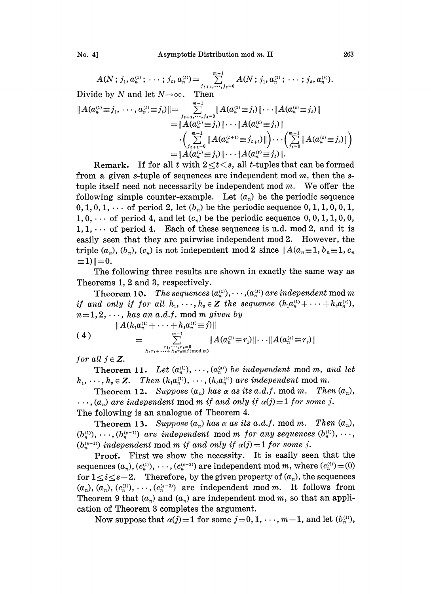No. 4] Asymptotic Distribution rood m. II 263

 $A(N; j_1, a_n^{(1)}; \dots; j_t, a_n^{(t)}) = \sum_{j_{t+1}, \dots, j_{s}=0} A(N; j_1, a_n^{(1)}; \dots; j_s, a_n^{(s)})$ .<br>Divide by N and let  $N \to \infty$ . Then

$$
||A(a_n^{(1)} \equiv j_1, \dots, a_n^{(t)} \equiv j_t)|| = \sum_{j_{t+1},...,j_{t=0}}^{m-1} ||A(a_n^{(1)} \equiv j_1)||\cdots||A(a_n^{(s)} \equiv j_s)||
$$
  
\n
$$
= ||A(a_n^{(1)} \equiv j_1)||\cdots||A(a_n^{(t)} \equiv j_t)||
$$
  
\n
$$
\cdot \left(\sum_{j_{t+1}=0}^{m-1} ||A(a_n^{(t+1)} \equiv j_{t+1})||\right)\cdots\left(\sum_{j_{s}=0}^{m-1} ||A(a_n^{(s)} \equiv j_s)||\right)
$$
  
\n
$$
= ||A(a_n^{(1)} \equiv j_1)||\cdots||A(a_n^{(t)} \equiv j_t||).
$$

**Remark.** If for all t with  $2 \le t \le s$ , all t-tuples that can be formed from a given s-tuple of sequences are independent mod  $m$ , then the stuple itself need not necessarily be independent mod  $m$ . We offer the following simple counter-example. Let  $(a_n)$  be the periodic sequence  $0, 1, 0, 1, \cdots$  of period 2, let  $(b_n)$  be the periodic sequence  $0, 1, 1, 0, 0, 1,$  $1, 0, \cdots$  of period 4, and let  $(c_n)$  be the periodic sequence  $0, 0, 1, 1, 0, 0,$  $1, 1, \cdots$  of period 4. Each of these sequences is u.d. mod 2, and it is easily seen that they are pairwise independent mod 2. However, the triple  $(a_n)$ ,  $(b_n)$ ,  $(c_n)$  is not independent mod 2 since  $||A(a_n \equiv 1, b_n \equiv 1, c_n$  $\equiv$ 1)| $=$ 0.

The following three results are shown in exactly the same way as Theorems 1, 2 and 3, respectively.

Theorem 10. The sequences  $(a_n^{(1)}, \dots, (a_n^{(s)})$  are independent mod m if and only if for all  $h_1, \dots, h_s \in \mathbb{Z}$  the sequence  $(h_1a_1^{(1)} + \dots + h_sa_n^{(s)}),$  $n=1,2,\dots$ , has an a.d.f. mod m given by

$$
(4) \qquad \qquad \|A(h_{1}a_{n}^{(1)}+\cdots+h_{s}a_{n}^{(s)}\equiv j)\| \\
= \sum_{\substack{r_{1},\ldots,r_{s}=0\\ h_{1}r_{1}+\cdots+h_{s}r_{s}\equiv j\,(\text{mod }m)}}^{\infty} \|A(a_{n}^{(1)}\equiv r_{1})\|\cdots\|A(a_{n}^{(s)}\equiv r_{s})\|
$$

for all  $j \in \mathbb{Z}$ .

**Theorem 11.** Let  $(a_n^{(1)}, \dots, (a_n^{(s)})$  be independent mod m, and let  $h_1, \dots, h_s \in \mathbb{Z}$ . Then  $(h_1 a_n^{(1)}, \dots, (h_s a_n^{(s)})$  are independent mod m.

**Theorem 12.** Suppose  $(a_n)$  has a as its a.d.f. mod m. Then  $(a_n)$ ,  $\ldots$ ,  $(a_n)$  are independent mod m if and only if  $\alpha(j)=1$  for some j. The following is an analogue of Theorem 4.

**Theorem 13.** Suppose  $(a_n)$  has a as its a.d.f. mod m. Then  $(a_n)$ ,  $(b_n^{(1)}), \dots, (b_n^{(s-1)})$  are independent mod m for any sequences  $(b_n^{(1)}), \dots,$  $(b_n^{(s-1)})$  independent mod m if and only if  $\alpha(j)=1$  for some j.

Proof. First we show the necessity. It is easily seen that the sequences  $(a_n)$ ,  $(c_n^{(1)})$ ,  $\dots$ ,  $(c_n^{(s-2)})$  are independent mod m, where  $(c_n^{(i)}) = (0)$ for  $1 \lt i \lt s-2$ . Therefore, by the given property of  $(a_n)$ , the sequences  $(a_n), (a_n), (c_n^{(1)}), \cdots, (c_n^{(s-2)})$  are independent mod m. It follows from Theorem 9 that  $(a_n)$  and  $(a_n)$  are independent mod m, so that an application of Theorem 3 completes the argument.

Now suppose that  $\alpha(j)=1$  for some  $j=0, 1, \dots, m-1$ , and let  $(b_n^{(1)})$ ,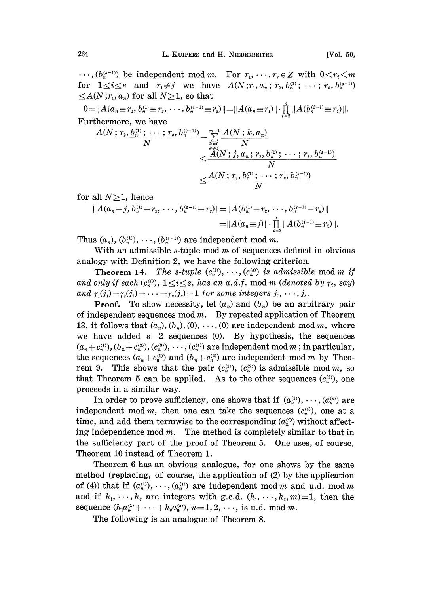$\cdots$ ,  $(b_n^{(s-1)})$  be independent mod m. For  $r_1, \cdots, r_s \in \mathbb{Z}$  with  $0 \le r_i \le m$ for  $1 \leq i \leq s$  and  $r_1 \neq j$  we have  $A(N; r_1, a_n; r_2, b_n^{(1)}; \dots; r_s, b_n^{(s-1)})$  $\leq$ A(N;r<sub>1</sub>, a<sub>n</sub>) for all N  $\geq$ 1, so that

$$
0 = ||A(a_n \equiv r_1, b_n^{(1)} \equiv r_2, \cdots, b_n^{(s-1)} \equiv r_s)|| = ||A(a_n \equiv r_1)|| \cdot \prod_{i=2}^s ||A(b_n^{(i-1)} \equiv r_i)||.
$$
  
Furthermore, we have

$$
\frac{A(N;r_2,b_n^{(1)};\cdots;r_s,b_n^{(s-1)})}{N} - \sum\limits_{\substack{k=0 \\ k \neq j}}^{m-1} \frac{A(N;k,a_n)}{N} \\ \leq \frac{A(N;j,a_n;r_2,b_n^{(1)};\cdots;r_s,b_n^{(s-1)})}{N} \\ \leq \frac{A(N;r_2,b_n^{(1)};\cdots;r_s,b_n^{(s-1)})}{N}
$$

for all  $N\geq 1$ , hence

$$
||A(a_n \equiv j, b_n^{(1)} \equiv r_2, \cdots, b_n^{(s-1)} \equiv r_s)|| = ||A(b_n^{(1)} \equiv r_2, \cdots, b_n^{(s-1)} \equiv r_s)||
$$
  
= 
$$
||A(a_n \equiv j)|| \cdot \prod_{i=2}^s ||A(b_n^{(i-1)} \equiv r_i)||
$$

Thus  $(a_n)$ ,  $(b_n^{(1)})$ ,  $\dots$ ,  $(b_n^{(s-1)})$  are independent mod m.

With an admissible s-tuple mod  $m$  of sequences defined in obvious analogy with Definition 2, we have the following criterion.

Theorem 14. The s-tuple  $(c_n^{(1)}, \dots, (c_n^{(s)})$  is admissible mod m if and only if each  $(c_n^{(i)}), 1 \le i \le s$ , has an a.d.f. mod m (denoted by  $\gamma_i$ , say) and  $\gamma_1(j_1)=\gamma_2(j_2)=\cdots=\gamma_s(j_s)=1$  for some integers  $j_1, \cdots, j_s$ .

**Proof.** To show necessity, let  $(a_n)$  and  $(b_n)$  be an arbitrary pair of independent sequences mod  $m$ . By repeated application of Theorem 13, it follows that  $(a_n), (b_n), (0), \cdots, (0)$  are independent mod m, where we have added  $s-2$  sequences (0). By hypothesis, the sequences  $(a_n + c_n^{(1)}), (b_n + c_n^{(2)}), (c_n^{(3)}), \cdots, (c_n^{(s)})$  are independent mod m; in particular, the sequences  $(a_n + c_n^{(1)})$  and  $(b_n + c_n^{(2)})$  are independent mod m by Theorem 9. This shows that the pair  $(c_n^{(1)})$ ,  $(c_n^{(2)})$  is admissible mod m, so that Theorem 5 can be applied. As to the other sequences  $(c<sub>n</sub><sup>(i))</sup>$ , one proceeds in a similar way.

In order to prove sufficiency, one shows that if  $(a_n^{(1)}, \dots, (a_n^{(s)})$  are independent mod m, then one can take the sequences  $(c_n^{(i)})$ , one at a time, and add them termwise to the corresponding  $(a_n^{\scriptscriptstyle(i)})$  without affecting independence mod  $m$ . The method is completely similar to that in the sufficiency part of the proof of Theorem 5. One uses, ot course, Theorem 10 instead of Theorem 1.

Theorem 6 has an obvious analogue, for one shows by the same method (replacing, of course, the application of (2) by the application of (4)) that if  $(a_n^{(1)},\ldots, (a_n^{(s)})$  are independent mod m and u.d. mod m and if  $h_1, \dots, h_s$  are integers with g.c.d.  $(h_1, \dots, h_s, m)=1$ , then the sequence  $(h_1 a_n^{(1)} + \cdots + h_s a_n^{(s)})$ ,  $n=1, 2, \cdots$ , is u.d. mod m.

The following is an analogue of Theorem 8.